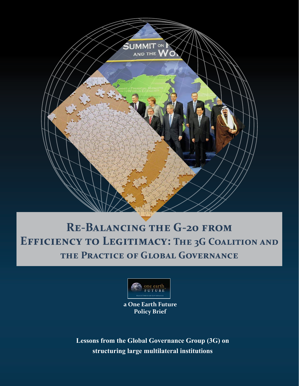

## **Re-Balancing the G-20 from**  EFFICIENCY TO LEGITIMACY: THE 3G COALITION AND **the Practice of Global Governance**



**a One Earth Future Policy Brief**

**Lessons from the Global Governance Group (3G) on structuring large multilateral institutions**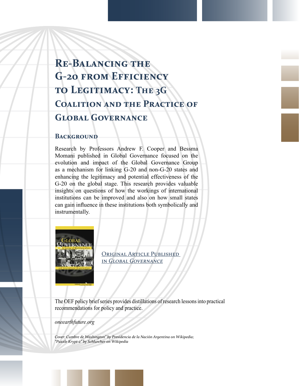# **Re-Balancing the G-20 from Efficiency to Legitimacy: The 3G Coalition and the Practice of Global Governance**

### **BACKGROUND**

Research by Professors Andrew F. Cooper and Bessma Momani published in Global Governance focused on the evolution and impact of the Global Governance Group as a mechanism for linking G-20 and non-G-20 states and enhancing the legitimacy and potential effectiveness of the G-20 on the global stage. This research provides valuable insights on questions of how the workings of international institutions can be improved and also on how small states can gain influence in these institutions both symbolically and instrumentally.



ORIGINAL ARTICLE PUBLISHED in *[Global Governance](https://www.rienner.com/title/Global_Governance_A_Review_of_Multilateralism_and_International_Organizations)*

The OEF policy brief series provides distillations of research lessons into practical recommendations for policy and practice.

*[oneearthfuture.org](http://oneearthfuture.org)*

*Cover: Cumbre de Washington" by Presidencia de la Nación Argentina on Wikipedia; "Puzzle Krypt-2" by Schlurcher on Wikipedia*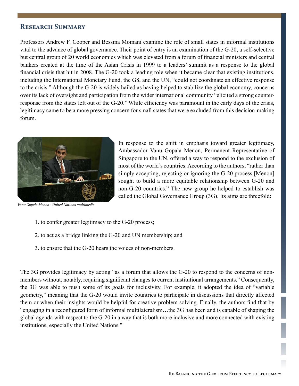### **Research Summary**

Professors Andrew F. Cooper and Bessma Momani examine the role of small states in informal institutions vital to the advance of global governance. Their point of entry is an examination of the G-20, a self-selective but central group of 20 world economies which was elevated from a forum of financial ministers and central bankers created at the time of the Asian Crisis in 1999 to a leaders' summit as a response to the global financial crisis that hit in 2008. The G-20 took a leading role when it became clear that existing institutions, including the International Monetary Fund, the G8, and the UN, "could not coordinate an effective response to the crisis." Although the G-20 is widely hailed as having helped to stabilize the global economy, concerns over its lack of oversight and participation from the wider international community "elicited a strong counterresponse from the states left out of the G-20." While efficiency was paramount in the early days of the crisis, legitimacy came to be a more pressing concern for small states that were excluded from this decision-making forum.



*Vanu Gopala Menon - United Nations multimedia*

In response to the shift in emphasis toward greater legitimacy, Ambassador Vanu Gopala Menon, Permanent Representative of Singapore to the UN, offered a way to respond to the exclusion of most of the world's countries. According to the authors, "rather than simply accepting, rejecting or ignoring the G-20 process [Menon] sought to build a more equitable relationship between G-20 and non-G-20 countries." The new group he helped to establish was called the Global Governance Group (3G). Its aims are threefold:

- 1. to confer greater legitimacy to the G-20 process;
- 2. to act as a bridge linking the G-20 and UN membership; and
- 3. to ensure that the G-20 hears the voices of non-members.

The 3G provides legitimacy by acting "as a forum that allows the G-20 to respond to the concerns of nonmembers without, notably, requiring significant changes to current institutional arrangements." Consequently, the 3G was able to push some of its goals for inclusivity. For example, it adopted the idea of "variable geometry," meaning that the G-20 would invite countries to participate in discussions that directly affected them or when their insights would be helpful for creative problem solving. Finally, the authors find that by "engaging in a reconfigured form of informal multilateralism…the 3G has been and is capable of shaping the global agenda with respect to the G-20 in a way that is both more inclusive and more connected with existing institutions, especially the United Nations."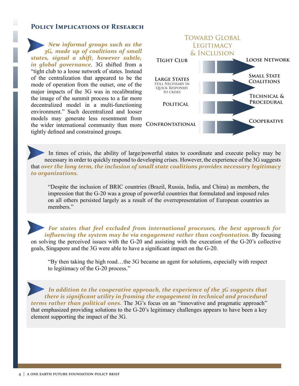### **Policy Implications of Research**

*New informal groups such as the 3G, made up of coalitions of small states, signal a shift, however subtle, in global governance*. 3G shifted from a "tight club to a loose network of states. Instead of the centralization that appeared to be the mode of operation from the outset, one of the major impacts of the 3G was in recalibrating the image of the summit process to a far more decentralized model in a multi-functioning environment." Such decentralized and looser models may generate less resentment from the wider international community than more CONFRONTATIONAL tightly defined and constrained groups.



In times of crisis, the ability of large/powerful states to coordinate and execute policy may be necessary in order to quickly respond to developing crises. However, the experience of the 3G suggests that *over the long term, the inclusion of small state coalitions provides necessary legitimacy to organizations.*

"Despite the inclusion of BRIC countries (Brazil, Russia, India, and China) as members, the impression that the G-20 was a group of powerful countries that formulated and imposed rules on all others persisted largely as a result of the overrepresentation of European countries as members."

*For states that feel excluded from international processes, the best approach for influencing the system may be via engagement rather than confrontation.* By focusing on solving the perceived issues with the G-20 and assisting with the execution of the G-20's collective goals, Singapore and the 3G were able to have a significant impact on the G-20.

"By then taking the high road…the 3G became an agent for solutions, especially with respect to legitimacy of the G-20 process."

*In addition to the cooperative approach, the experience of the 3G suggests that there is significant utility in framing the engagement in technical and procedural terms rather than political ones.* The 3G's focus on an "innovative and pragmatic approach" that emphasized providing solutions to the G-20's legitimacy challenges appears to have been a key element supporting the impact of the 3G.